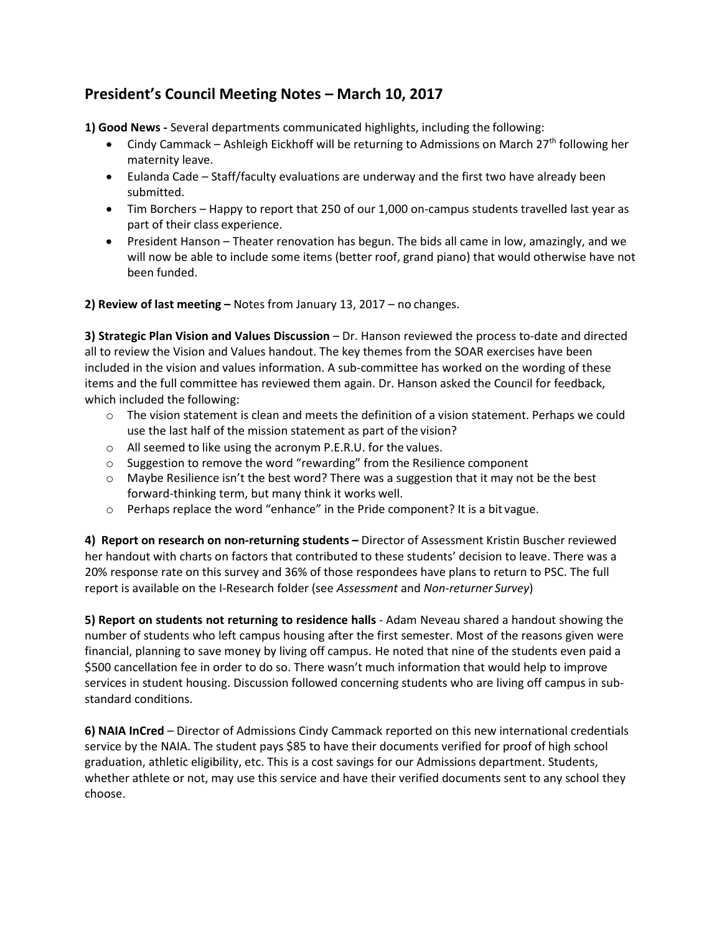## **President's Council Meeting Notes – March 10, 2017**

**1) Good News -** Several departments communicated highlights, including the following:

- Cindy Cammack Ashleigh Eickhoff will be returning to Admissions on March 27<sup>th</sup> following her maternity leave.
- · Eulanda Cade Staff/faculty evaluations are underway and the first two have already been submitted.
- · Tim Borchers Happy to report that 250 of our 1,000 on-campus students travelled last year as part of their class experience.
- · President Hanson Theater renovation has begun. The bids all came in low, amazingly, and we will now be able to include some items (better roof, grand piano) that would otherwise have not been funded.

**2) Review of last meeting –** Notes from January 13, 2017 – no changes.

**3) Strategic Plan Vision and Values Discussion** – Dr. Hanson reviewed the process to-date and directed all to review the Vision and Values handout. The key themes from the SOAR exercises have been included in the vision and values information. A sub-committee has worked on the wording of these items and the full committee has reviewed them again. Dr. Hanson asked the Council for feedback, which included the following:

- $\circ$  The vision statement is clean and meets the definition of a vision statement. Perhaps we could use the last half of the mission statement as part of the vision?
- o All seemed to like using the acronym P.E.R.U. for the values.
- $\circ$  Suggestion to remove the word "rewarding" from the Resilience component
- $\circ$  Maybe Resilience isn't the best word? There was a suggestion that it may not be the best forward-thinking term, but many think it works well.
- $\circ$  Perhaps replace the word "enhance" in the Pride component? It is a bit vague.

**4) Report on research on non-returning students –** Director of Assessment Kristin Buscher reviewed her handout with charts on factors that contributed to these students' decision to leave. There was a 20% response rate on this survey and 36% of those respondees have plans to return to PSC. The full report is available on the I-Research folder (see *Assessment* and *Non-returner Survey*)

**5) Report on students not returning to residence halls** - Adam Neveau shared a handout showing the number of students who left campus housing after the first semester. Most of the reasons given were financial, planning to save money by living off campus. He noted that nine of the students even paid a \$500 cancellation fee in order to do so. There wasn't much information that would help to improve services in student housing. Discussion followed concerning students who are living off campus in substandard conditions.

**6) NAIA InCred** – Director of Admissions Cindy Cammack reported on this new international credentials service by the NAIA. The student pays \$85 to have their documents verified for proof of high school graduation, athletic eligibility, etc. This is a cost savings for our Admissions department. Students, whether athlete or not, may use this service and have their verified documents sent to any school they choose.